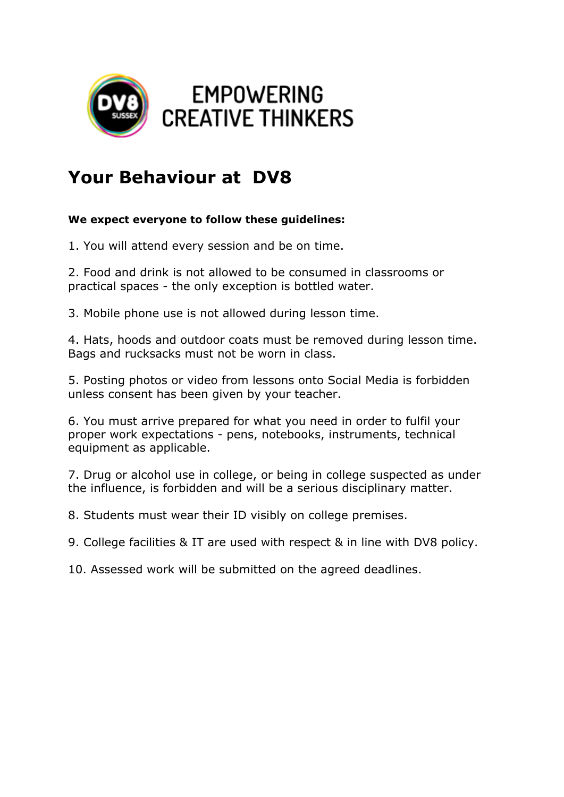

## **Your Behaviour at DV8**

## **We expect everyone to follow these guidelines:**

1. You will attend every session and be on time.

2. Food and drink is not allowed to be consumed in classrooms or practical spaces - the only exception is bottled water.

3. Mobile phone use is not allowed during lesson time.

4. Hats, hoods and outdoor coats must be removed during lesson time. Bags and rucksacks must not be worn in class.

5. Posting photos or video from lessons onto Social Media is forbidden unless consent has been given by your teacher.

6. You must arrive prepared for what you need in order to fulfil your proper work expectations - pens, notebooks, instruments, technical equipment as applicable.

7. Drug or alcohol use in college, or being in college suspected as under the influence, is forbidden and will be a serious disciplinary matter.

8. Students must wear their ID visibly on college premises.

9. College facilities & IT are used with respect & in line with DV8 policy.

10. Assessed work will be submitted on the agreed deadlines.